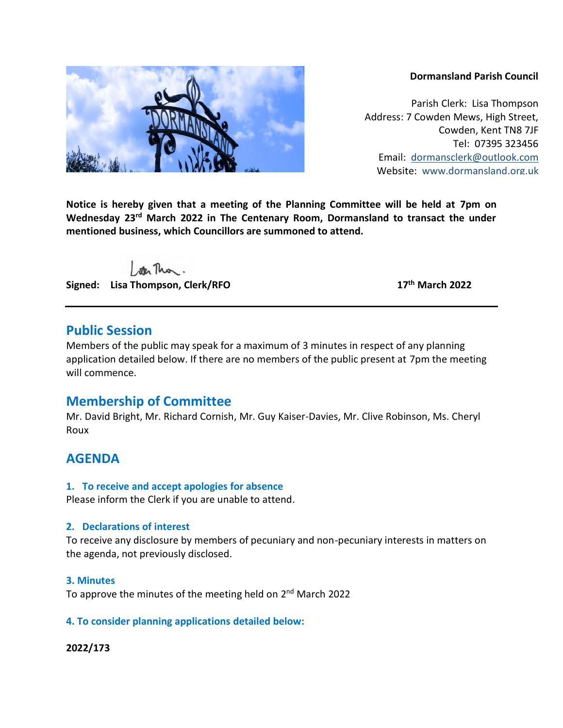### **Dormansland Parish Council**

Parish Clerk: Lisa Thompson Address: 7 Cowden Mews, High Street, Cowden, Kent TN8 7JF Tel: 07395 323456 Email: [dormansclerk@outlook.com](mailto:dormansclerk@outlook.com) Website: [www.dormansland.org.uk](http://www.dormansland.org.uk/)

**Notice is hereby given that a meeting of the Planning Committee will be held at 7pm on Wednesday 23rd March 2022 in The Centenary Room, Dormansland to transact the under mentioned business, which Councillors are summoned to attend.**

ster This.

**Signed: Lisa Thompson, Clerk/RFO 17th March 2022**

## **Public Session**

Members of the public may speak for a maximum of 3 minutes in respect of any planning application detailed below. If there are no members of the public present at 7pm the meeting will commence.

# **Membership of Committee**

Mr. David Bright, Mr. Richard Cornish, Mr. Guy Kaiser-Davies, Mr. Clive Robinson, Ms. Cheryl Roux

# **AGENDA**

## **1. To receive and accept apologies for absence**

Please inform the Clerk if you are unable to attend.

## **2. Declarations of interest**

To receive any disclosure by members of pecuniary and non-pecuniary interests in matters on the agenda, not previously disclosed.

## **3. Minutes**

To approve the minutes of the meeting held on 2<sup>nd</sup> March 2022

## **4. To consider planning applications detailed below:**

## **2022/173**